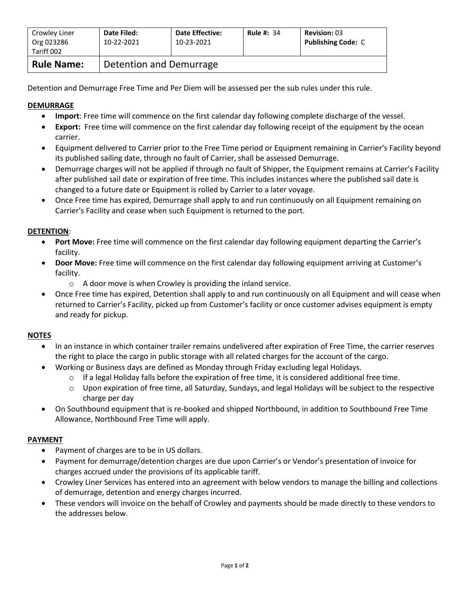| Crowley Liner<br>Org 023286<br>Tariff 002 | Date Filed:<br>10-22-2021 | <b>Date Effective:</b><br>10-23-2021 | <b>Rule #: 34</b> | <b>Revision: 03</b><br><b>Publishing Code: C</b> |  |
|-------------------------------------------|---------------------------|--------------------------------------|-------------------|--------------------------------------------------|--|
| <b>Rule Name:</b>                         | Detention and Demurrage   |                                      |                   |                                                  |  |

Detention and Demurrage Free Time and Per Diem will be assessed per the sub rules under this rule.

# **DEMURRAGE**

- **Import**: Free time will commence on the first calendar day following complete discharge of the vessel.
- **Export:** Free time will commence on the first calendar day following receipt of the equipment by the ocean carrier.
- Equipment delivered to Carrier prior to the Free Time period or Equipment remaining in Carrier's Facility beyond its published sailing date, through no fault of Carrier, shall be assessed Demurrage.
- Demurrage charges will not be applied if through no fault of Shipper, the Equipment remains at Carrier's Facility after published sail date or expiration of free time. This includes instances where the published sail date is changed to a future date or Equipment is rolled by Carrier to a later voyage.
- Once Free time has expired, Demurrage shall apply to and run continuously on all Equipment remaining on Carrier's Facility and cease when such Equipment is returned to the port.

## **DETENTION**:

- **Port Move:** Free time will commence on the first calendar day following equipment departing the Carrier's facility.
- **Door Move:** Free time will commence on the first calendar day following equipment arriving at Customer's facility.
	- o A door move is when Crowley is providing the inland service.
- Once Free time has expired, Detention shall apply to and run continuously on all Equipment and will cease when returned to Carrier's Facility, picked up from Customer's facility or once customer advises equipment is empty and ready for pickup.

### **NOTES**

- In an instance in which container trailer remains undelivered after expiration of Free Time, the carrier reserves the right to place the cargo in public storage with all related charges for the account of the cargo.
- Working or Business days are defined as Monday through Friday excluding legal Holidays.
	- $\circ$  If a legal Holiday falls before the expiration of free time, it is considered additional free time.
	- $\circ$  Upon expiration of free time, all Saturday, Sundays, and legal Holidays will be subject to the respective charge per day
- On Southbound equipment that is re-booked and shipped Northbound, in addition to Southbound Free Time Allowance, Northbound Free Time will apply.

### **PAYMENT**

- Payment of charges are to be in US dollars.
- Payment for demurrage/detention charges are due upon Carrier's or Vendor's presentation of invoice for charges accrued under the provisions of its applicable tariff.
- Crowley Liner Services has entered into an agreement with below vendors to manage the billing and collections of demurrage, detention and energy charges incurred.
- These vendors will invoice on the behalf of Crowley and payments should be made directly to these vendors to the addresses below.